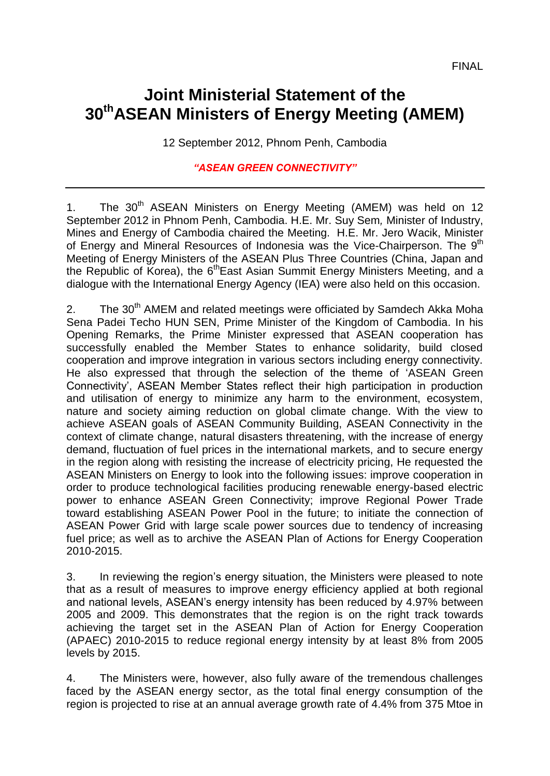## **Joint Ministerial Statement of the 30thASEAN Ministers of Energy Meeting (AMEM)**

12 September 2012, Phnom Penh, Cambodia

## *"ASEAN GREEN CONNECTIVITY"*

1. The  $30<sup>th</sup>$  ASEAN Ministers on Energy Meeting (AMEM) was held on 12 September 2012 in Phnom Penh, Cambodia. H.E. Mr. Suy Sem*,* Minister of Industry, Mines and Energy of Cambodia chaired the Meeting. H.E. Mr. Jero Wacik, Minister of Energy and Mineral Resources of Indonesia was the Vice-Chairperson. The 9<sup>th</sup> Meeting of Energy Ministers of the ASEAN Plus Three Countries (China, Japan and the Republic of Korea), the 6<sup>th</sup>East Asian Summit Energy Ministers Meeting, and a dialogue with the International Energy Agency (IEA) were also held on this occasion.

2. The 30<sup>th</sup> AMEM and related meetings were officiated by Samdech Akka Moha Sena Padei Techo HUN SEN, Prime Minister of the Kingdom of Cambodia. In his Opening Remarks, the Prime Minister expressed that ASEAN cooperation has successfully enabled the Member States to enhance solidarity, build closed cooperation and improve integration in various sectors including energy connectivity. He also expressed that through the selection of the theme of 'ASEAN Green Connectivity', ASEAN Member States reflect their high participation in production and utilisation of energy to minimize any harm to the environment, ecosystem, nature and society aiming reduction on global climate change. With the view to achieve ASEAN goals of ASEAN Community Building, ASEAN Connectivity in the context of climate change, natural disasters threatening, with the increase of energy demand, fluctuation of fuel prices in the international markets, and to secure energy in the region along with resisting the increase of electricity pricing, He requested the ASEAN Ministers on Energy to look into the following issues: improve cooperation in order to produce technological facilities producing renewable energy-based electric power to enhance ASEAN Green Connectivity; improve Regional Power Trade toward establishing ASEAN Power Pool in the future; to initiate the connection of ASEAN Power Grid with large scale power sources due to tendency of increasing fuel price; as well as to archive the ASEAN Plan of Actions for Energy Cooperation 2010-2015.

3. In reviewing the region's energy situation, the Ministers were pleased to note that as a result of measures to improve energy efficiency applied at both regional and national levels, ASEAN's energy intensity has been reduced by 4.97% between 2005 and 2009. This demonstrates that the region is on the right track towards achieving the target set in the ASEAN Plan of Action for Energy Cooperation (APAEC) 2010-2015 to reduce regional energy intensity by at least 8% from 2005 levels by 2015.

4. The Ministers were, however, also fully aware of the tremendous challenges faced by the ASEAN energy sector, as the total final energy consumption of the region is projected to rise at an annual average growth rate of 4.4% from 375 Mtoe in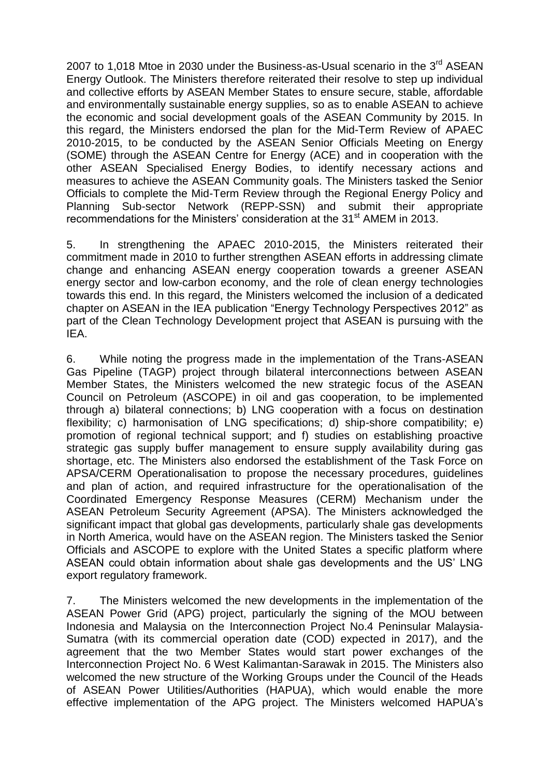2007 to 1,018 Mtoe in 2030 under the Business-as-Usual scenario in the 3<sup>rd</sup> ASEAN Energy Outlook. The Ministers therefore reiterated their resolve to step up individual and collective efforts by ASEAN Member States to ensure secure, stable, affordable and environmentally sustainable energy supplies, so as to enable ASEAN to achieve the economic and social development goals of the ASEAN Community by 2015. In this regard, the Ministers endorsed the plan for the Mid-Term Review of APAEC 2010-2015, to be conducted by the ASEAN Senior Officials Meeting on Energy (SOME) through the ASEAN Centre for Energy (ACE) and in cooperation with the other ASEAN Specialised Energy Bodies, to identify necessary actions and measures to achieve the ASEAN Community goals. The Ministers tasked the Senior Officials to complete the Mid-Term Review through the Regional Energy Policy and Planning Sub-sector Network (REPP-SSN) and submit their appropriate recommendations for the Ministers' consideration at the 31<sup>st</sup> AMEM in 2013.

5. In strengthening the APAEC 2010-2015, the Ministers reiterated their commitment made in 2010 to further strengthen ASEAN efforts in addressing climate change and enhancing ASEAN energy cooperation towards a greener ASEAN energy sector and low-carbon economy, and the role of clean energy technologies towards this end. In this regard, the Ministers welcomed the inclusion of a dedicated chapter on ASEAN in the IEA publication "Energy Technology Perspectives 2012" as part of the Clean Technology Development project that ASEAN is pursuing with the IEA.

6. While noting the progress made in the implementation of the Trans-ASEAN Gas Pipeline (TAGP) project through bilateral interconnections between ASEAN Member States, the Ministers welcomed the new strategic focus of the ASEAN Council on Petroleum (ASCOPE) in oil and gas cooperation, to be implemented through a) bilateral connections; b) LNG cooperation with a focus on destination flexibility; c) harmonisation of LNG specifications; d) ship-shore compatibility; e) promotion of regional technical support; and f) studies on establishing proactive strategic gas supply buffer management to ensure supply availability during gas shortage, etc. The Ministers also endorsed the establishment of the Task Force on APSA/CERM Operationalisation to propose the necessary procedures, guidelines and plan of action, and required infrastructure for the operationalisation of the Coordinated Emergency Response Measures (CERM) Mechanism under the ASEAN Petroleum Security Agreement (APSA). The Ministers acknowledged the significant impact that global gas developments, particularly shale gas developments in North America, would have on the ASEAN region. The Ministers tasked the Senior Officials and ASCOPE to explore with the United States a specific platform where ASEAN could obtain information about shale gas developments and the US' LNG export regulatory framework.

7. The Ministers welcomed the new developments in the implementation of the ASEAN Power Grid (APG) project, particularly the signing of the MOU between Indonesia and Malaysia on the Interconnection Project No.4 Peninsular Malaysia-Sumatra (with its commercial operation date (COD) expected in 2017), and the agreement that the two Member States would start power exchanges of the Interconnection Project No. 6 West Kalimantan-Sarawak in 2015. The Ministers also welcomed the new structure of the Working Groups under the Council of the Heads of ASEAN Power Utilities/Authorities (HAPUA), which would enable the more effective implementation of the APG project. The Ministers welcomed HAPUA's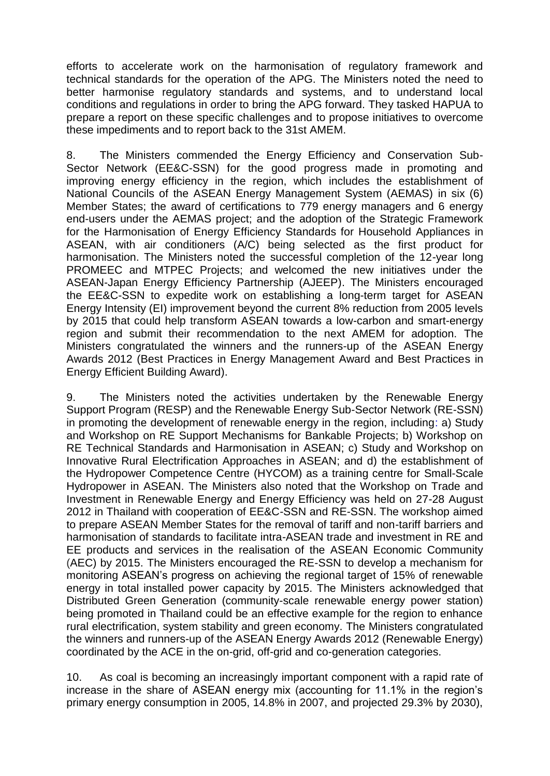efforts to accelerate work on the harmonisation of regulatory framework and technical standards for the operation of the APG. The Ministers noted the need to better harmonise regulatory standards and systems, and to understand local conditions and regulations in order to bring the APG forward. They tasked HAPUA to prepare a report on these specific challenges and to propose initiatives to overcome these impediments and to report back to the 31st AMEM.

8. The Ministers commended the Energy Efficiency and Conservation Sub-Sector Network (EE&C-SSN) for the good progress made in promoting and improving energy efficiency in the region, which includes the establishment of National Councils of the ASEAN Energy Management System (AEMAS) in six (6) Member States; the award of certifications to 779 energy managers and 6 energy end-users under the AEMAS project; and the adoption of the Strategic Framework for the Harmonisation of Energy Efficiency Standards for Household Appliances in ASEAN, with air conditioners (A/C) being selected as the first product for harmonisation. The Ministers noted the successful completion of the 12-year long PROMEEC and MTPEC Projects; and welcomed the new initiatives under the ASEAN-Japan Energy Efficiency Partnership (AJEEP). The Ministers encouraged the EE&C-SSN to expedite work on establishing a long-term target for ASEAN Energy Intensity (EI) improvement beyond the current 8% reduction from 2005 levels by 2015 that could help transform ASEAN towards a low-carbon and smart-energy region and submit their recommendation to the next AMEM for adoption. The Ministers congratulated the winners and the runners-up of the ASEAN Energy Awards 2012 (Best Practices in Energy Management Award and Best Practices in Energy Efficient Building Award).

9. The Ministers noted the activities undertaken by the Renewable Energy Support Program (RESP) and the Renewable Energy Sub-Sector Network (RE-SSN) in promoting the development of renewable energy in the region, including: a) Study and Workshop on RE Support Mechanisms for Bankable Projects; b) Workshop on RE Technical Standards and Harmonisation in ASEAN; c) Study and Workshop on Innovative Rural Electrification Approaches in ASEAN; and d) the establishment of the Hydropower Competence Centre (HYCOM) as a training centre for Small-Scale Hydropower in ASEAN. The Ministers also noted that the Workshop on Trade and Investment in Renewable Energy and Energy Efficiency was held on 27-28 August 2012 in Thailand with cooperation of EE&C-SSN and RE-SSN. The workshop aimed to prepare ASEAN Member States for the removal of tariff and non-tariff barriers and harmonisation of standards to facilitate intra-ASEAN trade and investment in RE and EE products and services in the realisation of the ASEAN Economic Community (AEC) by 2015. The Ministers encouraged the RE-SSN to develop a mechanism for monitoring ASEAN's progress on achieving the regional target of 15% of renewable energy in total installed power capacity by 2015. The Ministers acknowledged that Distributed Green Generation (community-scale renewable energy power station) being promoted in Thailand could be an effective example for the region to enhance rural electrification, system stability and green economy. The Ministers congratulated the winners and runners-up of the ASEAN Energy Awards 2012 (Renewable Energy) coordinated by the ACE in the on-grid, off-grid and co-generation categories.

10. As coal is becoming an increasingly important component with a rapid rate of increase in the share of ASEAN energy mix (accounting for 11.1% in the region's primary energy consumption in 2005, 14.8% in 2007, and projected 29.3% by 2030),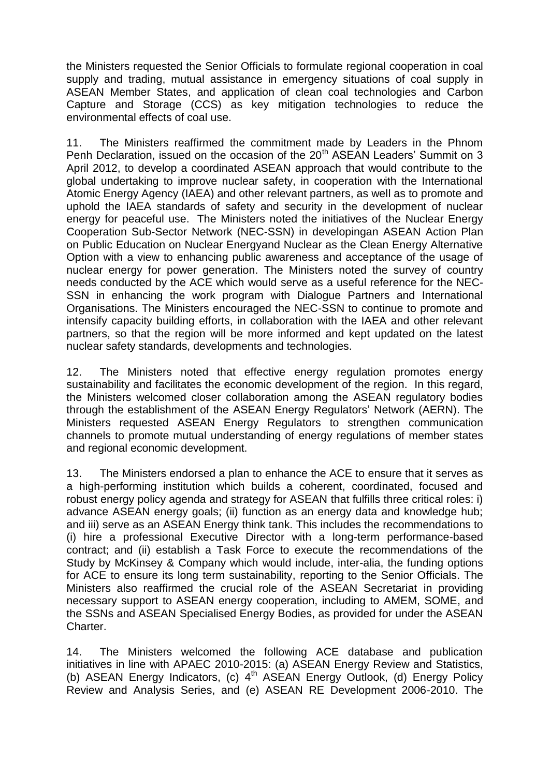the Ministers requested the Senior Officials to formulate regional cooperation in coal supply and trading, mutual assistance in emergency situations of coal supply in ASEAN Member States, and application of clean coal technologies and Carbon Capture and Storage (CCS) as key mitigation technologies to reduce the environmental effects of coal use.

11. The Ministers reaffirmed the commitment made by Leaders in the Phnom Penh Declaration, issued on the occasion of the 20<sup>th</sup> ASEAN Leaders' Summit on 3 April 2012, to develop a coordinated ASEAN approach that would contribute to the global undertaking to improve nuclear safety, in cooperation with the International Atomic Energy Agency (IAEA) and other relevant partners, as well as to promote and uphold the IAEA standards of safety and security in the development of nuclear energy for peaceful use. The Ministers noted the initiatives of the Nuclear Energy Cooperation Sub-Sector Network (NEC-SSN) in developingan ASEAN Action Plan on Public Education on Nuclear Energyand Nuclear as the Clean Energy Alternative Option with a view to enhancing public awareness and acceptance of the usage of nuclear energy for power generation. The Ministers noted the survey of country needs conducted by the ACE which would serve as a useful reference for the NEC-SSN in enhancing the work program with Dialogue Partners and International Organisations. The Ministers encouraged the NEC-SSN to continue to promote and intensify capacity building efforts, in collaboration with the IAEA and other relevant partners, so that the region will be more informed and kept updated on the latest nuclear safety standards, developments and technologies.

12. The Ministers noted that effective energy regulation promotes energy sustainability and facilitates the economic development of the region. In this regard, the Ministers welcomed closer collaboration among the ASEAN regulatory bodies through the establishment of the ASEAN Energy Regulators' Network (AERN). The Ministers requested ASEAN Energy Regulators to strengthen communication channels to promote mutual understanding of energy regulations of member states and regional economic development.

13. The Ministers endorsed a plan to enhance the ACE to ensure that it serves as a high-performing institution which builds a coherent, coordinated, focused and robust energy policy agenda and strategy for ASEAN that fulfills three critical roles: i) advance ASEAN energy goals; (ii) function as an energy data and knowledge hub; and iii) serve as an ASEAN Energy think tank. This includes the recommendations to (i) hire a professional Executive Director with a long-term performance-based contract; and (ii) establish a Task Force to execute the recommendations of the Study by McKinsey & Company which would include, inter-alia, the funding options for ACE to ensure its long term sustainability, reporting to the Senior Officials. The Ministers also reaffirmed the crucial role of the ASEAN Secretariat in providing necessary support to ASEAN energy cooperation, including to AMEM, SOME, and the SSNs and ASEAN Specialised Energy Bodies, as provided for under the ASEAN Charter.

14. The Ministers welcomed the following ACE database and publication initiatives in line with APAEC 2010-2015: (a) ASEAN Energy Review and Statistics, (b) ASEAN Energy Indicators, (c) 4<sup>th</sup> ASEAN Energy Outlook, (d) Energy Policy Review and Analysis Series, and (e) ASEAN RE Development 2006-2010. The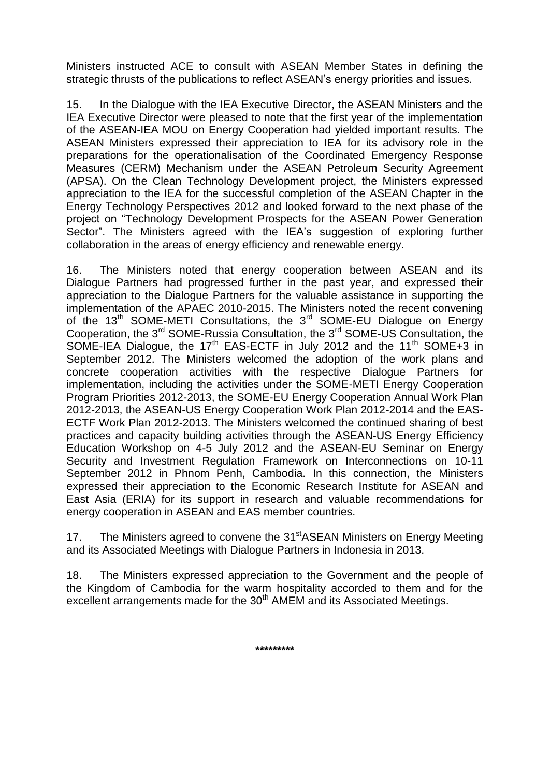Ministers instructed ACE to consult with ASEAN Member States in defining the strategic thrusts of the publications to reflect ASEAN's energy priorities and issues.

15. In the Dialogue with the IEA Executive Director, the ASEAN Ministers and the IEA Executive Director were pleased to note that the first year of the implementation of the ASEAN-IEA MOU on Energy Cooperation had yielded important results. The ASEAN Ministers expressed their appreciation to IEA for its advisory role in the preparations for the operationalisation of the Coordinated Emergency Response Measures (CERM) Mechanism under the ASEAN Petroleum Security Agreement (APSA). On the Clean Technology Development project, the Ministers expressed appreciation to the IEA for the successful completion of the ASEAN Chapter in the Energy Technology Perspectives 2012 and looked forward to the next phase of the project on "Technology Development Prospects for the ASEAN Power Generation Sector". The Ministers agreed with the IEA's suggestion of exploring further collaboration in the areas of energy efficiency and renewable energy.

16. The Ministers noted that energy cooperation between ASEAN and its Dialogue Partners had progressed further in the past year, and expressed their appreciation to the Dialogue Partners for the valuable assistance in supporting the implementation of the APAEC 2010-2015. The Ministers noted the recent convening of the 13<sup>th</sup> SOME-METI Consultations, the 3<sup>rd</sup> SOME-EU Dialogue on Energy Cooperation, the 3rd SOME-Russia Consultation, the 3rd SOME-US Consultation, the SOME-IEA Dialogue, the 17<sup>th</sup> EAS-ECTF in July 2012 and the 11<sup>th</sup> SOME+3 in September 2012. The Ministers welcomed the adoption of the work plans and concrete cooperation activities with the respective Dialogue Partners for implementation, including the activities under the SOME-METI Energy Cooperation Program Priorities 2012-2013, the SOME-EU Energy Cooperation Annual Work Plan 2012-2013, the ASEAN-US Energy Cooperation Work Plan 2012-2014 and the EAS-ECTF Work Plan 2012-2013. The Ministers welcomed the continued sharing of best practices and capacity building activities through the ASEAN-US Energy Efficiency Education Workshop on 4-5 July 2012 and the ASEAN-EU Seminar on Energy Security and Investment Regulation Framework on Interconnections on 10-11 September 2012 in Phnom Penh, Cambodia. In this connection, the Ministers expressed their appreciation to the Economic Research Institute for ASEAN and East Asia (ERIA) for its support in research and valuable recommendations for energy cooperation in ASEAN and EAS member countries.

17. The Ministers agreed to convene the 31<sup>st</sup>ASEAN Ministers on Energy Meeting and its Associated Meetings with Dialogue Partners in Indonesia in 2013.

18. The Ministers expressed appreciation to the Government and the people of the Kingdom of Cambodia for the warm hospitality accorded to them and for the excellent arrangements made for the 30<sup>th</sup> AMEM and its Associated Meetings.

**\*\*\*\*\*\*\*\*\***